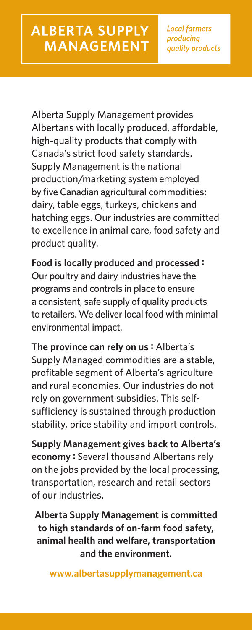Alberta Supply Management provides Albertans with locally produced, affordable, high-quality products that comply with Canada's strict food safety standards. Supply Management is the national production/marketing system employed by five Canadian agricultural commodities: dairy, table eggs, turkeys, chickens and hatching eggs. Our industries are committed to excellence in animal care, food safety and product quality.

**Food is locally produced and processed :** Our poultry and dairy industries have the programs and controls in place to ensure a consistent, safe supply of quality products to retailers. We deliver local food with minimal environmental impact.

**The province can rely on us :** Alberta's Supply Managed commodities are a stable, profitable segment of Alberta's agriculture and rural economies. Our industries do not rely on government subsidies. This selfsufficiency is sustained through production stability, price stability and import controls.

**Supply Management gives back to Alberta's economy :** Several thousand Albertans rely on the jobs provided by the local processing, transportation, research and retail sectors of our industries.

**Alberta Supply Management is committed to high standards of on-farm food safety, animal health and welfare, transportation and the environment.**

**www.albertasupplymanagement.ca**